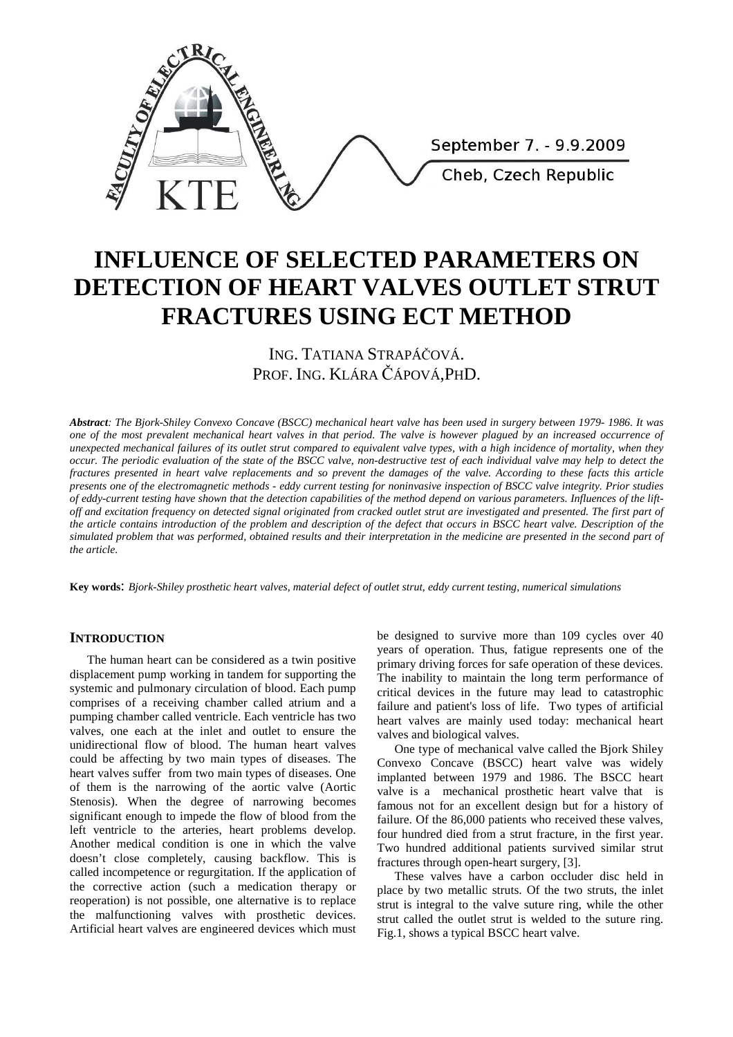

# **INFLUENCE OF SELECTED PARAMETERS ON DETECTION OF HEART VALVES OUTLET STRUT FRACTURES USING ECT METHOD**

ING. TATIANA STRAPÁČOVÁ. PROF. ING. KLÁRA ČÁPOVÁ,PHD.

*Abstract: The Bjork-Shiley Convexo Concave (BSCC) mechanical heart valve has been used in surgery between 1979- 1986. It was one of the most prevalent mechanical heart valves in that period. The valve is however plagued by an increased occurrence of unexpected mechanical failures of its outlet strut compared to equivalent valve types, with a high incidence of mortality, when they occur. The periodic evaluation of the state of the BSCC valve, non-destructive test of each individual valve may help to detect the fractures presented in heart valve replacements and so prevent the damages of the valve. According to these facts this article presents one of the electromagnetic methods - eddy current testing for noninvasive inspection of BSCC valve integrity. Prior studies of eddy-current testing have shown that the detection capabilities of the method depend on various parameters. Influences of the liftoff and excitation frequency on detected signal originated from cracked outlet strut are investigated and presented. The first part of the article contains introduction of the problem and description of the defect that occurs in BSCC heart valve. Description of the simulated problem that was performed, obtained results and their interpretation in the medicine are presented in the second part of the article.* 

**Key words**: *Bjork-Shiley prosthetic heart valves, material defect of outlet strut, eddy current testing, numerical simulations* 

## **INTRODUCTION**

The human heart can be considered as a twin positive displacement pump working in tandem for supporting the systemic and pulmonary circulation of blood. Each pump comprises of a receiving chamber called atrium and a pumping chamber called ventricle. Each ventricle has two valves, one each at the inlet and outlet to ensure the unidirectional flow of blood. The human heart valves could be affecting by two main types of diseases. The heart valves suffer from two main types of diseases. One of them is the narrowing of the aortic valve (Aortic Stenosis). When the degree of narrowing becomes significant enough to impede the flow of blood from the left ventricle to the arteries, heart problems develop. Another medical condition is one in which the valve doesn't close completely, causing backflow. This is called incompetence or regurgitation. If the application of the corrective action (such a medication therapy or reoperation) is not possible, one alternative is to replace the malfunctioning valves with prosthetic devices. Artificial heart valves are engineered devices which must be designed to survive more than 109 cycles over 40 years of operation. Thus, fatigue represents one of the primary driving forces for safe operation of these devices. The inability to maintain the long term performance of critical devices in the future may lead to catastrophic failure and patient's loss of life. Two types of artificial heart valves are mainly used today: mechanical heart valves and biological valves.

One type of mechanical valve called the Bjork Shiley Convexo Concave (BSCC) heart valve was widely implanted between 1979 and 1986. The BSCC heart valve is a mechanical prosthetic heart valve that is famous not for an excellent design but for a history of failure. Of the 86,000 patients who received these valves, four hundred died from a strut fracture, in the first year. Two hundred additional patients survived similar strut fractures through open-heart surgery, [3].

These valves have a carbon occluder disc held in place by two metallic struts. Of the two struts, the inlet strut is integral to the valve suture ring, while the other strut called the outlet strut is welded to the suture ring. Fig.1, shows a typical BSCC heart valve.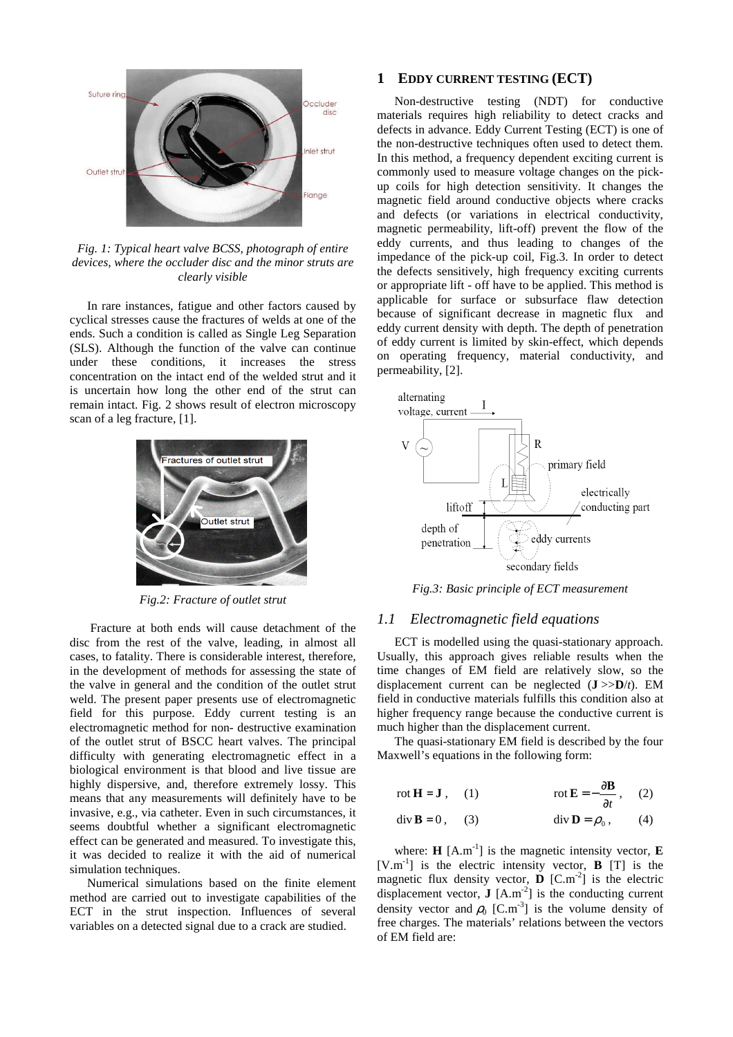

*Fig. 1: Typical heart valve BCSS, photograph of entire devices, where the occluder disc and the minor struts are clearly visible* 

In rare instances, fatigue and other factors caused by cyclical stresses cause the fractures of welds at one of the ends. Such a condition is called as Single Leg Separation (SLS). Although the function of the valve can continue under these conditions, it increases the stress concentration on the intact end of the welded strut and it is uncertain how long the other end of the strut can remain intact. Fig. 2 shows result of electron microscopy scan of a leg fracture, [1].



*Fig.2: Fracture of outlet strut* 

 Fracture at both ends will cause detachment of the disc from the rest of the valve, leading, in almost all cases, to fatality. There is considerable interest, therefore, in the development of methods for assessing the state of the valve in general and the condition of the outlet strut weld. The present paper presents use of electromagnetic field for this purpose. Eddy current testing is an electromagnetic method for non- destructive examination of the outlet strut of BSCC heart valves. The principal difficulty with generating electromagnetic effect in a biological environment is that blood and live tissue are highly dispersive, and, therefore extremely lossy. This means that any measurements will definitely have to be invasive, e.g., via catheter. Even in such circumstances, it seems doubtful whether a significant electromagnetic effect can be generated and measured. To investigate this, it was decided to realize it with the aid of numerical simulation techniques.

Numerical simulations based on the finite element method are carried out to investigate capabilities of the ECT in the strut inspection. Influences of several variables on a detected signal due to a crack are studied.

## **1 EDDY CURRENT TESTING (ECT)**

Non-destructive testing (NDT) for conductive materials requires high reliability to detect cracks and defects in advance. Eddy Current Testing (ECT) is one of the non-destructive techniques often used to detect them. In this method, a frequency dependent exciting current is commonly used to measure voltage changes on the pickup coils for high detection sensitivity. It changes the magnetic field around conductive objects where cracks and defects (or variations in electrical conductivity, magnetic permeability, lift-off) prevent the flow of the eddy currents, and thus leading to changes of the impedance of the pick-up coil, Fig.3. In order to detect the defects sensitively, high frequency exciting currents or appropriate lift - off have to be applied. This method is applicable for surface or subsurface flaw detection because of significant decrease in magnetic flux and eddy current density with depth. The depth of penetration of eddy current is limited by skin-effect, which depends on operating frequency, material conductivity, and permeability, [2].



*Fig.3: Basic principle of ECT measurement* 

## *1.1 Electromagnetic field equations*

ECT is modelled using the quasi-stationary approach. Usually, this approach gives reliable results when the time changes of EM field are relatively slow, so the displacement current can be neglected (**J** >>**D**/*t*). EM field in conductive materials fulfills this condition also at higher frequency range because the conductive current is much higher than the displacement current.

The quasi-stationary EM field is described by the four Maxwell's equations in the following form:

$$
\text{rot } \mathbf{H} = \mathbf{J} \,, \quad (1) \qquad \qquad \text{rot } \mathbf{E} = -\frac{\partial \mathbf{B}}{\partial t} \,, \quad (2)
$$

$$
\operatorname{div} \mathbf{B} = 0, \qquad (3) \qquad \qquad \operatorname{div} \mathbf{D} = \rho_0, \qquad (4)
$$

where:  $\mathbf{H}$  [A.m<sup>-1</sup>] is the magnetic intensity vector,  $\mathbf{E}$  $[V.m^{-1}]$  is the electric intensity vector, **B** [T] is the magnetic flux density vector,  $\bf{D}$  [C.m<sup>-2</sup>] is the electric displacement vector,  $\mathbf{J}$  [A.m<sup>-2</sup>] is the conducting current density vector and  $\rho_0$  [C.m<sup>-3</sup>] is the volume density of free charges. The materials' relations between the vectors of EM field are: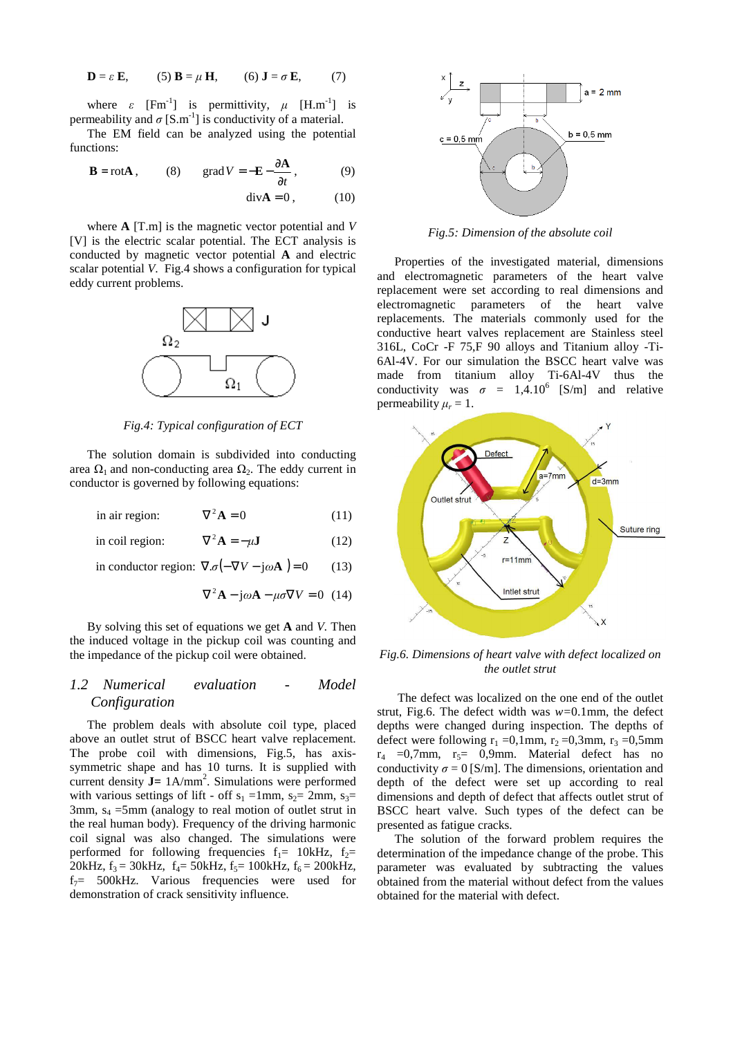$$
\mathbf{D} = \varepsilon \mathbf{E}, \qquad (5) \mathbf{B} = \mu \mathbf{H}, \qquad (6) \mathbf{J} = \sigma \mathbf{E}, \qquad (7)
$$

where  $\varepsilon$  [Fm<sup>-1</sup>] is permittivity,  $\mu$  [H.m<sup>-1</sup>] is permeability and  $\sigma$  [S.m<sup>-1</sup>] is conductivity of a material.

The EM field can be analyzed using the potential functions:

$$
\mathbf{B} = \text{rot}\mathbf{A}, \qquad (8) \qquad \text{grad}\,V = -\mathbf{E} - \frac{\partial \mathbf{A}}{\partial t}, \tag{9}
$$

 $\text{div}\mathbf{A} = 0$  (10)

where **A** [T.m] is the magnetic vector potential and *V* [V] is the electric scalar potential. The ECT analysis is conducted by magnetic vector potential **A** and electric scalar potential *V*. Fig.4 shows a configuration for typical eddy current problems.



*Fig.4: Typical configuration of ECT* 

The solution domain is subdivided into conducting area  $\Omega_1$  and non-conducting area  $\Omega_2$ . The eddy current in conductor is governed by following equations:

in air region:  $\nabla^2 \mathbf{A} = 0$  (11)

 $\phi$  in coil region:  $\nabla^2 \mathbf{A} = -\mu \mathbf{J}$ (12)

in conductor region:  $\nabla \cdot \sigma(-\nabla V - i\omega \mathbf{A}) = 0$  (13)

 $\nabla^2 \mathbf{A} - j\omega \mathbf{A} - \mu \sigma \nabla V = 0$  (14)

By solving this set of equations we get **A** and *V.* Then the induced voltage in the pickup coil was counting and the impedance of the pickup coil were obtained.

## *1.2 Numerical evaluation - Model Configuration*

The problem deals with absolute coil type, placed above an outlet strut of BSCC heart valve replacement. The probe coil with dimensions, Fig.5, has axissymmetric shape and has 10 turns. It is supplied with current density  $J = 1$ A/mm<sup>2</sup>. Simulations were performed with various settings of lift - off  $s_1 = 1$ mm,  $s_2 = 2$ mm,  $s_3 =$ 3mm,  $s_4$  =5mm (analogy to real motion of outlet strut in the real human body). Frequency of the driving harmonic coil signal was also changed. The simulations were performed for following frequencies  $f_1$ = 10kHz,  $f_2$ = 20kHz,  $f_3 = 30$ kHz,  $f_4 = 50$ kHz,  $f_5 = 100$ kHz,  $f_6 = 200$ kHz,  $f_7$ = 500kHz. Various frequencies were used for demonstration of crack sensitivity influence.



*Fig.5: Dimension of the absolute coil* 

Properties of the investigated material, dimensions and electromagnetic parameters of the heart valve replacement were set according to real dimensions and electromagnetic parameters of the heart valve replacements. The materials commonly used for the conductive heart valves replacement are Stainless steel 316L, CoCr -F 75,F 90 alloys and Titanium alloy -Ti-6Al-4V. For our simulation the BSCC heart valve was made from titanium alloy Ti-6Al-4V thus the conductivity was  $\sigma = 1,4.10^6$  [S/m] and relative permeability  $\mu_r = 1$ .



*Fig.6. Dimensions of heart valve with defect localized on the outlet strut* 

 The defect was localized on the one end of the outlet strut, Fig.6. The defect width was *w=*0.1mm, the defect depths were changed during inspection. The depths of defect were following  $r_1 = 0.1$ mm,  $r_2 = 0.3$ mm,  $r_3 = 0.5$ mm  $r_4$  =0,7mm,  $r_5$ = 0,9mm. Material defect has no conductivity  $\sigma = 0$  [S/m]. The dimensions, orientation and depth of the defect were set up according to real dimensions and depth of defect that affects outlet strut of BSCC heart valve. Such types of the defect can be presented as fatigue cracks.

The solution of the forward problem requires the determination of the impedance change of the probe. This parameter was evaluated by subtracting the values obtained from the material without defect from the values obtained for the material with defect.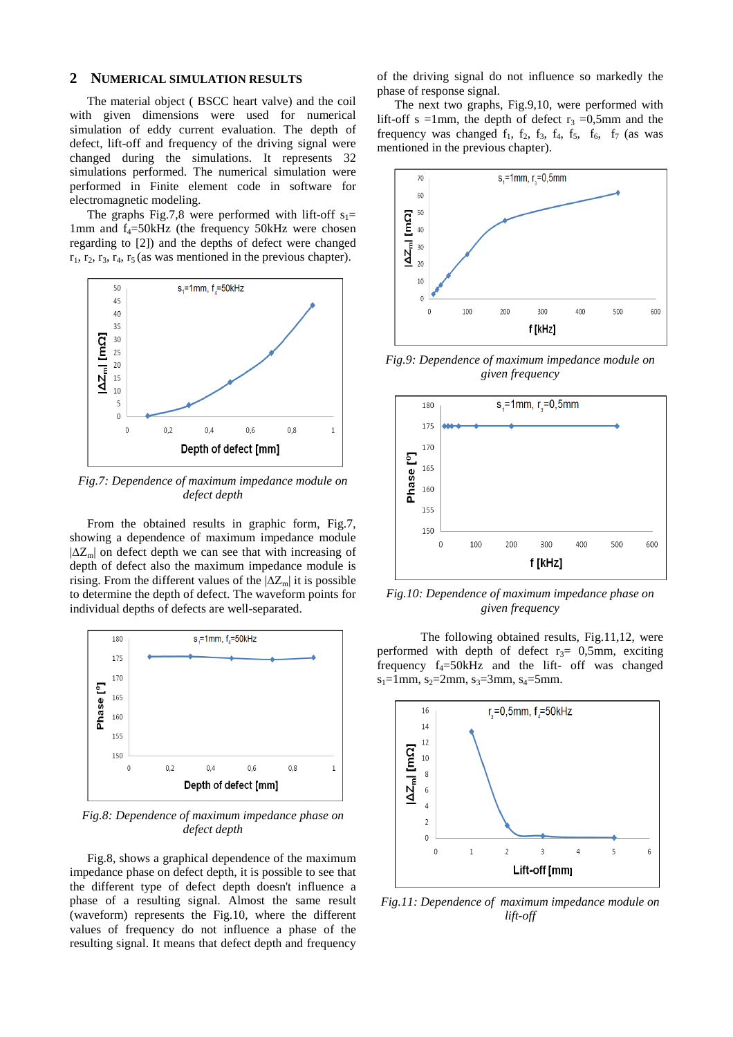## **2 NUMERICAL SIMULATION RESULTS**

The material object ( BSCC heart valve) and the coil with given dimensions were used for numerical simulation of eddy current evaluation. The depth of defect, lift-off and frequency of the driving signal were changed during the simulations. It represents 32 simulations performed. The numerical simulation were performed in Finite element code in software for electromagnetic modeling.

The graphs Fig.7,8 were performed with lift-off  $s_1$ = 1mm and  $f_4 = 50kHz$  (the frequency 50kHz were chosen regarding to [2]) and the depths of defect were changed  $r_1$ ,  $r_2$ ,  $r_3$ ,  $r_4$ ,  $r_5$  (as was mentioned in the previous chapter).



*Fig.7: Dependence of maximum impedance module on defect depth* 

From the obtained results in graphic form, Fig.7, showing a dependence of maximum impedance module  $|\Delta Z_{\text{m}}|$  on defect depth we can see that with increasing of depth of defect also the maximum impedance module is rising. From the different values of the  $|\Delta Z_{m}|$  it is possible to determine the depth of defect. The waveform points for individual depths of defects are well-separated.



*Fig.8: Dependence of maximum impedance phase on defect depth* 

Fig.8, shows a graphical dependence of the maximum impedance phase on defect depth, it is possible to see that the different type of defect depth doesn't influence a phase of a resulting signal. Almost the same result (waveform) represents the Fig.10, where the different values of frequency do not influence a phase of the resulting signal. It means that defect depth and frequency of the driving signal do not influence so markedly the phase of response signal.

The next two graphs, Fig.9,10, were performed with lift-off s =1mm, the depth of defect  $r_3$  =0,5mm and the frequency was changed  $f_1$ ,  $f_2$ ,  $f_3$ ,  $f_4$ ,  $f_5$ ,  $f_6$ ,  $f_7$  (as was mentioned in the previous chapter).



*Fig.9: Dependence of maximum impedance module on given frequency* 



*Fig.10: Dependence of maximum impedance phase on given frequency* 

 The following obtained results, Fig.11,12, were performed with depth of defect  $r_3$ = 0,5mm, exciting frequency  $f_4 = 50kHz$  and the lift- off was changed  $s_1=1$ mm,  $s_2=2$ mm,  $s_3=3$ mm,  $s_4=5$ mm.



*Fig.11: Dependence of maximum impedance module on lift-off*